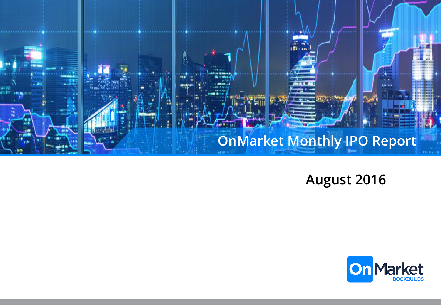

**August 2016**

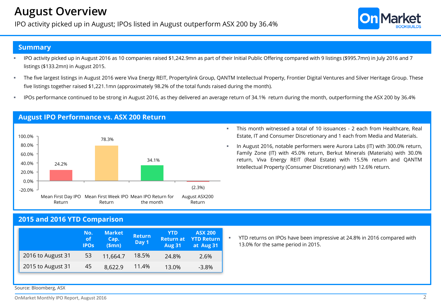## **August Overview**

IPO activity picked up in August; IPOs listed in August outperform ASX 200 by 36.4%



#### **Summary**

- § IPO activity picked up in August 2016 as 10 companies raised \$1,242.9mn as part of their Initial Public Offering compared with 9 listings (\$995.7mn) in July 2016 and 7 listings (\$133.2mn) in August 2015.
- § The five largest listings in August 2016 were Viva Energy REIT, Propertylink Group, QANTM Intellectual Property, Frontier Digital Ventures and Silver Heritage Group. These five listings together raised \$1,221.1mn (approximately 98.2% of the total funds raised during the month).
- IPOs performance continued to be strong in August 2016, as they delivered an average return of 34.1% return during the month, outperforming the ASX 200 by 36.4%



**August IPO Performance vs. ASX 200 Return**

- § This month witnessed a total of 10 issuances 2 each from Healthcare, Real Estate, IT and Consumer Discretionary and 1 each from Media and Materials.
	- § In August 2016, notable performers were Aurora Labs (IT) with 300.0% return, Family Zone (IT) with 45.0% return, Berkut Minerals (Materials) with 30.0% return, Viva Energy REIT (Real Estate) with 15.5% return and QANTM Intellectual Property (Consumer Discretionary) with 12.6% return.

## **2015 and 2016 YTD Comparison**

|                   | No.<br>оf<br><b>IPOS</b> | <b>Market</b><br>Cap.<br>\$mn) | <b>Return</b><br>Day 1 | <b>YTD</b><br><b>Return at</b><br><b>Aug 31</b> | <b>ASX 200</b><br><b>YTD Return</b><br>at Aug 31 |
|-------------------|--------------------------|--------------------------------|------------------------|-------------------------------------------------|--------------------------------------------------|
| 2016 to August 31 | 53                       | 11,664.7                       | 18.5%                  | 24.8%                                           | 2.6%                                             |
| 2015 to August 31 | 45                       | 8.622.9                        | 11.4%                  | 13.0%                                           | $-3.8\%$                                         |

§ YTD returns on IPOs have been impressive at 24.8% in 2016 compared with 13.0% for the same period in 2015.

Source: Bloomberg, ASX